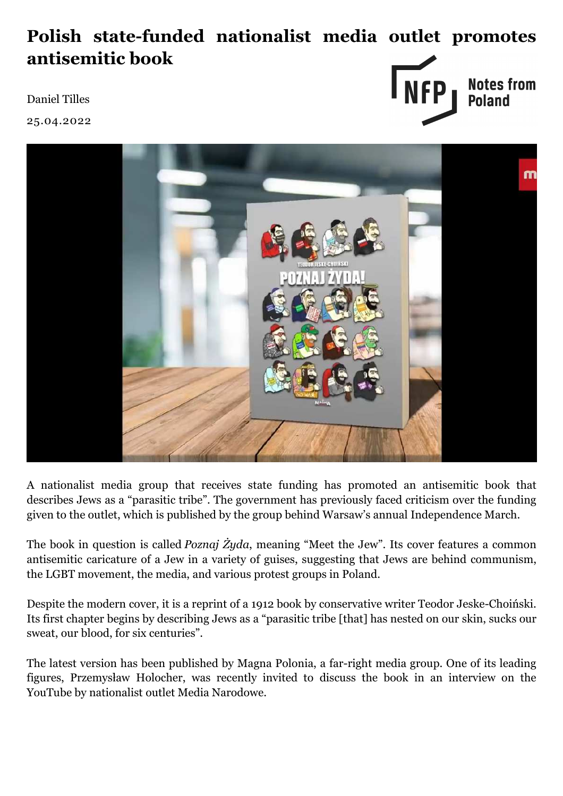## **Polish state-funded nationalist media outlet promotes antisemitic book**

Daniel Tilles

25.04.2022





A nationalist media group that receives state funding has promoted an antisemitic book that describes Jews as a "parasitic tribe". The government has previously faced criticism over the funding given to the outlet, which is published by the group behind Warsaw's annual Independence March.

The book in question is called *Poznaj Żyda*, meaning "Meet the Jew". Its cover features a common antisemitic caricature of a Jew in a variety of guises, suggesting that Jews are behind communism, the LGBT movement, the media, and various protest groups in Poland.

Despite the modern cover, it is a reprint of a 1912 book by conservative writer Teodor Jeske-Choiński. Its first chapter begins by describing Jews as a "parasitic tribe [that] has nested on our skin, sucks our sweat, our blood, for six centuries".

The latest version has been published by Magna Polonia, a far-right media group. One of its leading figures, Przemysław Holocher, was recently invited to discuss the book in an interview on the YouTube by nationalist outlet Media Narodowe.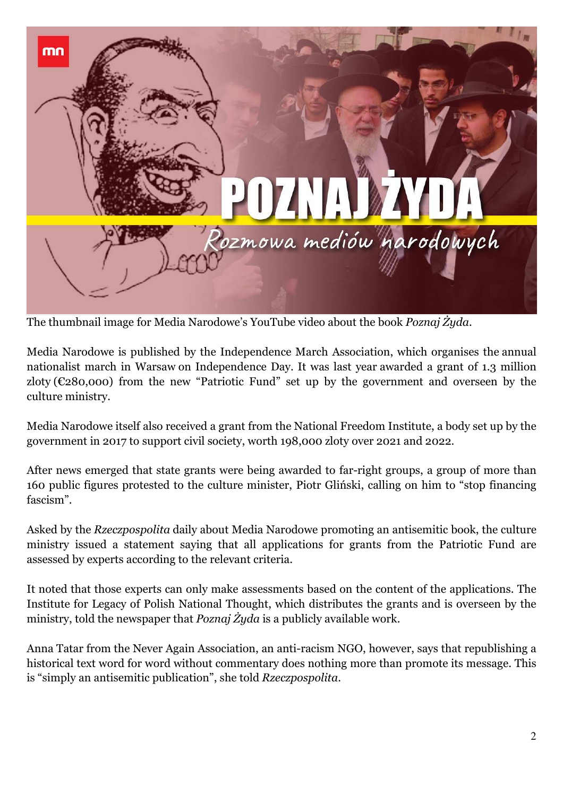

The thumbnail image for Media Narodowe's YouTube video about the book *Poznaj Żyda*.

Media Narodowe is published by the Independence March Association, which organises the annual nationalist march in Warsaw on Independence Day. It was last year awarded a grant of 1.3 million zloty ( $E280,000$ ) from the new "Patriotic Fund" set up by the government and overseen by the culture ministry.

Media Narodowe itself also received a grant from the National Freedom Institute, a body set up by the government in 2017 to support civil society, worth 198,000 zloty over 2021 and 2022.

After news emerged that state grants were being awarded to far-right groups, a group of more than 160 public figures protested to the culture minister, Piotr Gliński, calling on him to "stop financing fascism".

Asked by the *Rzeczpospolita* daily about Media Narodowe promoting an antisemitic book, the culture ministry issued a statement saying that all applications for grants from the Patriotic Fund are assessed by experts according to the relevant criteria.

It noted that those experts can only make assessments based on the content of the applications. The Institute for Legacy of Polish National Thought, which distributes the grants and is overseen by the ministry, told the newspaper that *Poznaj Żyda* is a publicly available work.

Anna Tatar from the Never Again Association, an anti-racism NGO, however, says that republishing a historical text word for word without commentary does nothing more than promote its message. This is "simply an antisemitic publication", she told *Rzeczpospolita*.